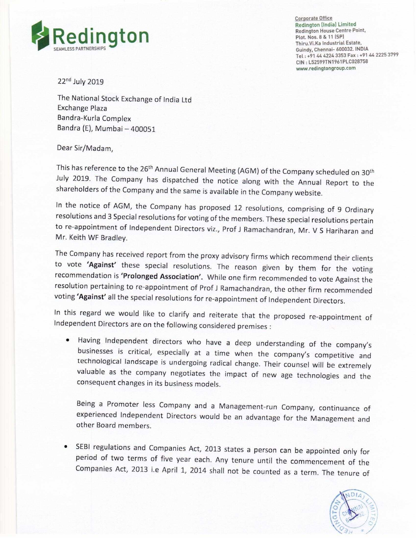

Corporate Office . Redington [India] Lirmted Redington (India) Limited<br>Redington House Centre Point, Tel: +91 44 4224 3353 Fax: +91 44 2225 3799 CIN : L52599TN1961PL0028753 www.redingtongroup.com

22nd July 2019

The National Stock Exchange of India Ltd Exchange Plaza Bandra—Kurla Complex Bandra (E), Mumbai —400051

## Dear Sir/Madam,

This has reference to the 26<sup>th</sup> Annual General Meeting (AGM) of the Company scheduled on 30<sup>th</sup> July 2019. The Company has dispatched the notice along with the Annual Report to the shareholders of the Company and the same is available in the Company website.

In the notice of AGM, the Company has proposed <sup>12</sup> resolutions, comprising of <sup>9</sup> Ordinary resolutions and <sup>3</sup> Special resolutions for voting ofthe members. These special resolutions pertain to re-appointment of Independent Directors viz., Prof J Ramachandran, Mr. V S Hariharan and Mr. Keith WF Bradley.

The Company has received report from the proxy advisory firms which recommend their clients to vote 'Against' these special resolutions. The reason given by them for the voting recommendation is 'Prolonged Association'. While one firm recommended to vote Against the resolution pertaining to re-appointment of Prof J Ramachandran, the other firm recommended voting 'Against' all the special resolutions for re-appointment of Independent Directors.

In this regard we would like to clarify and reiterate that the proposed re-appointment of Independent Directors are on the following considered premises:

<sup>0</sup> Having Independent directors who have <sup>a</sup> deep understanding of the company's businesses is critical, especially at <sup>a</sup> time when the company's competitive and technological landscape is undergoing radical change. Their counsel will be extremely valuable as the company negotiates the impact of new age technologies and the consequent changes in its business models.

Being <sup>a</sup> Promoter less Company and <sup>a</sup> Management-run Company, continuance of experienced Independent Directors would be an advantage for the Management and other Board members.

<sup>0</sup> SEBI regulations and Companies Act, <sup>2013</sup> states <sup>a</sup> person can be appointed only for period of two terms of five year each. Any tenure until the commencement of the Companies Act, 2013 i.e April 1, 2014 shall not be counted as a term. The tenure of

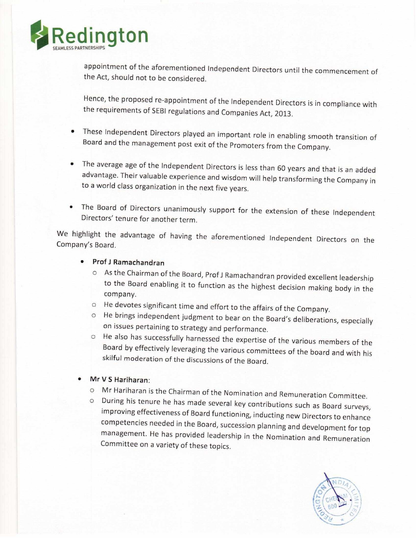

appointment of the aforementioned independent Directors until the commencement of the Act, should not to be considered.

Hence, the proposed re-appointment of the Independent Directors is in compliance with the requirements of SEBI regulations and Companies Act, 2013.

- These Independent Directors played an important role in enabling smooth transition of Board and the management post exit of the Promoters from the Company.
- <sup>0</sup> The average age of the Independent Directors is less than <sup>60</sup> years and that is an added advantage, Their valuable experience and wisdom will help transforming the Company in to <sup>a</sup> world class organization in the next five years.
- The Board of Directors unanimously support for the extension of these independent Directors' tenure for another term.

We highlight the advantage of having the aforementioned independent Directors on the Company's Board.

## - ProfJ Ramachandran

- o As the Chairman of the Board, Prof J Ramachandran provided excellent leadership to the Board enabling it to function as the highest decision making body in the company.
- He devotes significant time and effort to the affairs of the Company.
- He brings independent judgment to bear on the Board's deliberations, especially on issues pertaining to strategy and performance.
- He also has successfully harnessed the expertise of the various members of the Board by effectively leveraging the various committees of the board and with his skilful moderation of the discussions of the Board.
- Mr V S Hariharan:
	- O Mr Hariharan is the Chairman of the Nomination and Remuneration Committee.
	- o During his tenure he has made several key contributions such as Board surveys, improving effectiveness of Board functioning, inducting new Directors to enhance competencies needed in the Board, succession planning and development for top management. He has provided leadership in the Nomination and Remuneration Committee on a variety of these topics.